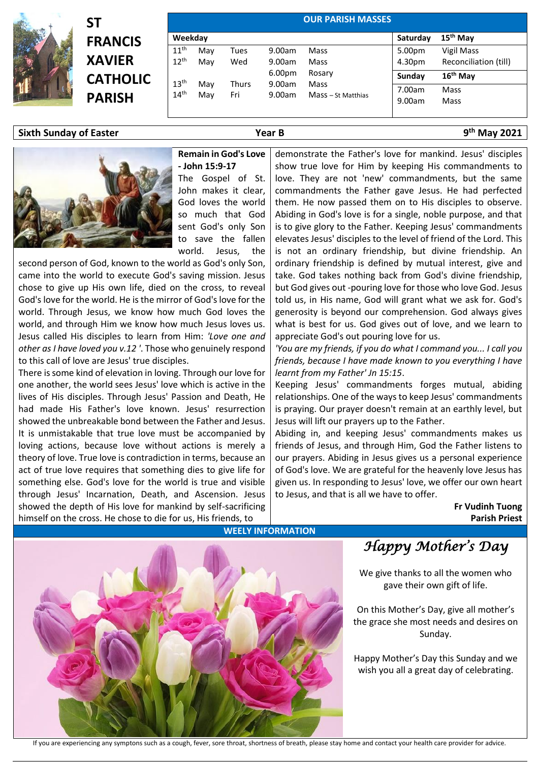

**ST FRANCIS XAVIER CATHOLIC PARISH**

| <b>OUR PARISH MASSES</b> |     |       |        |                    |          |                       |  |  |
|--------------------------|-----|-------|--------|--------------------|----------|-----------------------|--|--|
| Weekday                  |     |       |        |                    | Saturday | 15 <sup>th</sup> May  |  |  |
| 11 <sup>th</sup>         | May | Tues  | 9.00am | Mass               | 5.00pm   | Vigil Mass            |  |  |
| $12^{th}$                | May | Wed   | 9.00am | Mass               | 4.30pm   | Reconciliation (till) |  |  |
|                          |     |       | 6.00pm | Rosary             | Sunday   | $16th$ May            |  |  |
| 13 <sup>th</sup>         | May | Thurs | 9.00am | Mass               | 7.00am   | Mass                  |  |  |
| 14 <sup>th</sup>         | Mav | Fri   | 9.00am | Mass - St Matthias | 9.00am   | Mass                  |  |  |

### **Sixth Sunday of Easter Year B 9**



# **th May 2021**

#### **Remain in God's Love - John 15:9-17**

The Gospel of St. John makes it clear, God loves the world so much that God sent God's only Son to save the fallen world. Jesus, the

second person of God, known to the world as God's only Son, came into the world to execute God's saving mission. Jesus chose to give up His own life, died on the cross, to reveal God's love for the world. He is the mirror of God's love for the world. Through Jesus, we know how much God loves the world, and through Him we know how much Jesus loves us. Jesus called His disciples to learn from Him: *'Love one and other as I have loved you v.12 '*. Those who genuinely respond to this call of love are Jesus' true disciples.

There is some kind of elevation in loving. Through our love for one another, the world sees Jesus' love which is active in the lives of His disciples. Through Jesus' Passion and Death, He had made His Father's love known. Jesus' resurrection showed the unbreakable bond between the Father and Jesus. It is unmistakable that true love must be accompanied by loving actions, because love without actions is merely a theory of love. True love is contradiction in terms, because an act of true love requires that something dies to give life for something else. God's love for the world is true and visible through Jesus' Incarnation, Death, and Ascension. Jesus showed the depth of His love for mankind by self-sacrificing himself on the cross. He chose to die for us, His friends, to

demonstrate the Father's love for mankind. Jesus' disciples show true love for Him by keeping His commandments to love. They are not 'new' commandments, but the same commandments the Father gave Jesus. He had perfected them. He now passed them on to His disciples to observe. Abiding in God's love is for a single, noble purpose, and that is to give glory to the Father. Keeping Jesus' commandments elevates Jesus' disciples to the level of friend of the Lord. This is not an ordinary friendship, but divine friendship. An ordinary friendship is defined by mutual interest, give and take. God takes nothing back from God's divine friendship, but God gives out -pouring love for those who love God. Jesus told us, in His name, God will grant what we ask for. God's generosity is beyond our comprehension. God always gives what is best for us. God gives out of love, and we learn to appreciate God's out pouring love for us.

*'You are my friends, if you do what I command you... I call you friends, because I have made known to you everything I have learnt from my Father' Jn 15:15*.

Keeping Jesus' commandments forges mutual, abiding relationships. One of the ways to keep Jesus' commandments is praying. Our prayer doesn't remain at an earthly level, but Jesus will lift our prayers up to the Father.

Abiding in, and keeping Jesus' commandments makes us friends of Jesus, and through Him, God the Father listens to our prayers. Abiding in Jesus gives us a personal experience of God's love. We are grateful for the heavenly love Jesus has given us. In responding to Jesus' love, we offer our own heart to Jesus, and that is all we have to offer.

> **Fr Vudinh Tuong Parish Priest**



## **WEELY INFORMATION**

# *Happy Mother's Day*

We give thanks to all the women who gave their own gift of life.

On this Mother's Day, give all mother's the grace she most needs and desires on Sunday.

Happy Mother's Day this Sunday and we wish you all a great day of celebrating.

If you are experiencing any symptons such as a cough, fever, sore throat, shortness of breath, please stay home and contact your health care provider for advice.